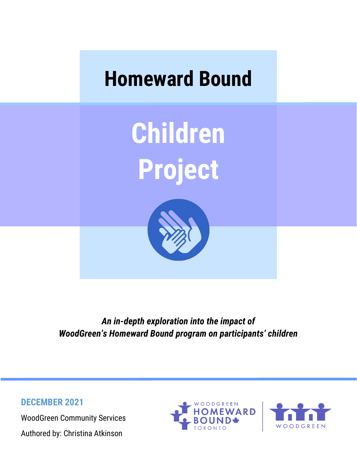## **Homeward Bound**

**Children Project**



*An in-depth exploration into the impact of WoodGreen's Homeward Bound program on participants' children*

**DECEMBER 2021** WoodGreen Community Services Authored by: Christina Atkinson



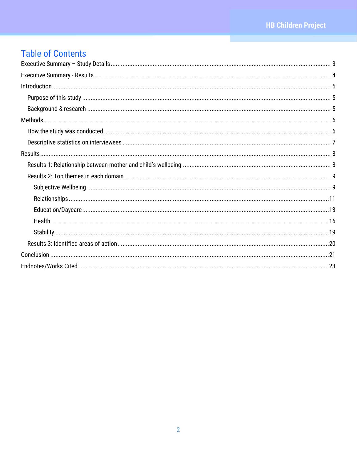## **Table of Contents**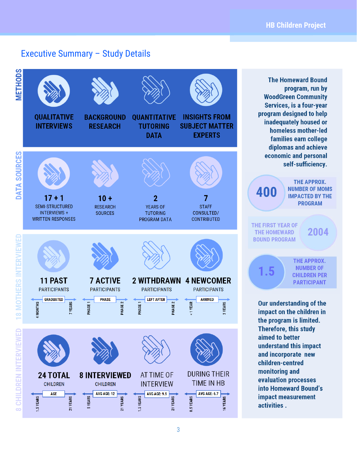## <span id="page-2-0"></span>Executive Summary – Study Details

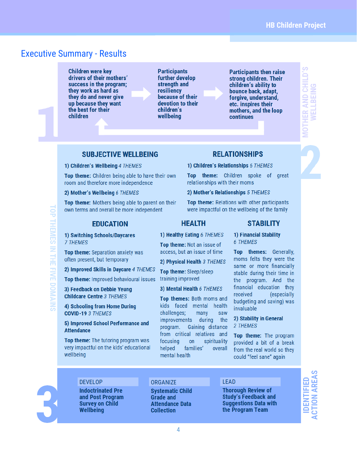## <span id="page-3-0"></span>Executive Summary - Results

**Children were key** drivers of their mothers' success in the program; they work as hard as they do and never give up because they want the best for their children

**Participants** further develop strength and **resiliency** because of their devotion to their children's wellbeing

**Participants then raise** strona children. Their children's ability to bounce back, adapt, forgive, understand, etc. inspires their mothers, and the loop continues

S **MOTHER AND CHILD' WELLBEING** 

#### **SUBJECTIVE WELLBEING**

1) Children's Wellbeing 4 THEMES

Top theme: Children being able to have their own room and therefore more independence

2) Mother's Wellbeing 6 THEMES

Top theme: Mothers being able to parent on their own terms and overall be more independent

#### **EDUCATION**

1) Switching Schools/Davcares **7 THEMES** 

Top theme: Separation anxiety was often present, but temporary

2) Improved Skills in Daycare 4 THEMES

Top theme: Improved behavioural issues

3) Feedback on Debbie Yeung **Childcare Centre 3 THEMES** 

4) Schooling from Home During **COVID-19 3 THEMES** 

5) Improved School Performance and **Attendance** 

Top theme: The tutoring program was very impactful on the kids' educational wellbeing

#### **RELATIONSHIPS**

1) Children's Relationships 6 THEMES

Top theme: Children spoke of great relationships with their moms

#### 2) Mother's Relationships 5 THEMES

Top theme: Relations with other participants were impactful on the wellbeing of the family

#### **HEALTH**

1) Healthy Eating 6 THEMES

Top theme: Not an issue of access, but an issue of time

2) Physical Health 3 THEMES

Top theme: Sleep/sleep training improved

#### 3) Mental Health 6 THEMES

Top themes: Both moms and kids faced mental health challenges: many saw improvements during the program. Gaining distance from critical relatives and focusing  $on$ spirituality families' helped overall mental health

### **STABILITY**

#### 1) Financial Stability **6 THEMES**

Top themes: Generally, moms felts they were the same or more financially stable during their time in the program. And the financial education they received (especially budgeting and saving) was invaluable

2) Stability in General 2 THEMES

Top theme: The program provided a bit of a break from the real world so they could "feel sane" again

#### **DEVELOP**

**Indoctrinated Pre** and Post Program **Survey on Child Wellbeing** 

#### **ORGANIZE**

**Systematic Child Grade and Attendance Data Collection** 

4

#### **LEAD**

**Thorough Review of Study's Feedback and Suggestions Data with** the Program Team

# **CTION AREA** IDENTIFIED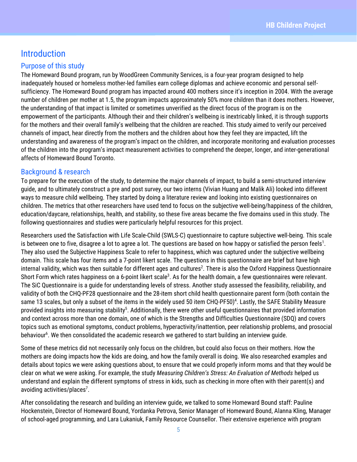## <span id="page-4-0"></span>**Introduction**

#### <span id="page-4-1"></span>Purpose of this study

The Homeward Bound program, run by WoodGreen Community Services, is a four-year program designed to help inadequately housed or homeless mother-led families earn college diplomas and achieve economic and personal selfsufficiency. The Homeward Bound program has impacted around 400 mothers since it's inception in 2004. With the average number of children per mother at 1.5, the program impacts approximately 50% more children than it does mothers. However, the understanding of that impact is limited or sometimes unverified as the direct focus of the program is on the empowerment of the participants. Although their and their children's wellbeing is inextricably linked, it is through supports for the mothers and their overall family's wellbeing that the children are reached. This study aimed to verify our perceived channels of impact, hear directly from the mothers and the children about how they feel they are impacted, lift the understanding and awareness of the program's impact on the children, and incorporate monitoring and evaluation processes of the children into the program's impact measurement activities to comprehend the deeper, longer, and inter-generational affects of Homeward Bound Toronto.

#### <span id="page-4-2"></span>Background & research

To prepare for the execution of the study, to determine the major channels of impact, to build a semi-structured interview guide, and to ultimately construct a pre and post survey, our two interns (Vivian Huang and Malik Ali) looked into different ways to measure child wellbeing. They started by doing a literature review and looking into existing questionnaires on children. The metrics that other researchers have used tend to focus on the subjective well-being/happiness of the children, education/daycare, relationships, health, and stability, so these five areas became the five domains used in this study. The following questionnaires and studies were particularly helpful resources for this project.

Researchers used the Satisfaction with Life Scale-Child (SWLS-C) questionnaire to capture subjective well-being. This scale is between one to five, disagree a lot to agree a lot. The questions are based on how happy or satisfied the person feels $^{\rm 1}.$ They also used the Subjective Happiness Scale to refer to happiness, which was captured under the subjective wellbeing domain. This scale has four items and a 7-point likert scale. The questions in this questionnaire are brief but have high internal validity, which was then suitable for different ages and cultures 2 . There is also the Oxford Happiness Questionnaire Short Form which rates happiness on a 6-point likert scale<sup>3</sup>. As for the health domain, a few questionnaires were relevant. The SiC Questionnaire is a guide for understanding levels of stress. Another study assessed the feasibility, reliability, and validity of both the CHQ-PF28 questionnaire and the 28-item short child health questionnaire parent form (both contain the same 13 scales, but only a subset of the items in the widely used 50 item CHQ-PF50) 4 . Lastly, the SAFE Stability Measure provided insights into measuring stability<sup>5</sup>. Additionally, there were other useful questionnaires that provided information and context across more than one domain, one of which is the Strengths and Difficulties Questionnaire (SDQ) and covers topics such as emotional symptoms, conduct problems, hyperactivity/inattention, peer relationship problems, and prosocial behaviour<sup>6</sup>. We then consolidated the academic research we gathered to start building an interview guide.

Some of these metrics did not necessarily only focus on the children, but could also focus on their mothers. How the mothers are doing impacts how the kids are doing, and how the family overall is doing. We also researched examples and details about topics we were asking questions about, to ensure that we could properly inform moms and that they would be clear on what we were asking. For example, the study *Measuring Children's Stress: An Evaluation of Methods* helped us understand and explain the different symptoms of stress in kids, such as checking in more often with their parent(s) and avoiding activities/places<sup>7</sup>.

After consolidating the research and building an interview guide, we talked to some Homeward Bound staff: Pauline Hockenstein, Director of Homeward Bound, Yordanka Petrova, Senior Manager of Homeward Bound, Alanna Kling, Manager of school-aged programming, and Lara Lukaniuk, Family Resource Counsellor. Their extensive experience with program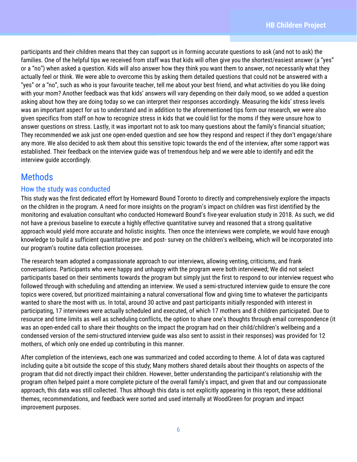participants and their children means that they can support us in forming accurate questions to ask (and not to ask) the families. One of the helpful tips we received from staff was that kids will often give you the shortest/easiest answer (a "yes" or a "no") when asked a question. Kids will also answer how they think you want them to answer, not necessarily what they actually feel or think. We were able to overcome this by asking them detailed questions that could not be answered with a "yes" or a "no", such as who is your favourite teacher, tell me about your best friend, and what activities do you like doing with your mom? Another feedback was that kids' answers will vary depending on their daily mood, so we added a question asking about how they are doing today so we can interpret their responses accordingly. Measuring the kids' stress levels was an important aspect for us to understand and in addition to the aforementioned tips form our research, we were also given specifics from staff on how to recognize stress in kids that we could list for the moms if they were unsure how to answer questions on stress. Lastly, it was important not to ask too many questions about the family's financial situation; They recommended we ask just one open-ended question and see how they respond and respect if they don't engage/share any more. We also decided to ask them about this sensitive topic towards the end of the interview, after some rapport was established. Their feedback on the interview guide was of tremendous help and we were able to identify and edit the interview guide accordingly.

## <span id="page-5-0"></span>**Methods**

#### <span id="page-5-1"></span>How the study was conducted

This study was the first dedicated effort by Homeward Bound Toronto to directly and comprehensively explore the impacts on the children in the program. A need for more insights on the program's impact on children was first identified by the monitoring and evaluation consultant who conducted Homeward Bound's five-year evaluation study in 2018. As such, we did not have a previous baseline to execute a highly effective quantitative survey and reasoned that a strong qualitative approach would yield more accurate and holistic insights. Then once the interviews were complete, we would have enough knowledge to build a sufficient quantitative pre- and post- survey on the children's wellbeing, which will be incorporated into our program's routine data collection processes.

The research team adopted a compassionate approach to our interviews, allowing venting, criticisms, and frank conversations. Participants who were happy and unhappy with the program were both interviewed; We did not select participants based on their sentiments towards the program but simply just the first to respond to our interview request who followed through with scheduling and attending an interview. We used a semi-structured interview guide to ensure the core topics were covered, but prioritized maintaining a natural conversational flow and giving time to whatever the participants wanted to share the most with us. In total, around 30 active and past participants initially responded with interest in participating, 17 interviews were actually scheduled and executed, of which 17 mothers and 8 children participated. Due to resource and time limits as well as scheduling conflicts, the option to share one's thoughts through email correspondence (it was an open-ended call to share their thoughts on the impact the program had on their child/children's wellbeing and a condensed version of the semi-structured interview guide was also sent to assist in their responses) was provided for 12 mothers, of which only one ended up contributing in this manner.

After completion of the interviews, each one was summarized and coded according to theme. A lot of data was captured including quite a bit outside the scope of this study; Many mothers shared details about their thoughts on aspects of the program that did not directly impact their children. However, better understanding the participant's relationship with the program often helped paint a more complete picture of the overall family's impact, and given that and our compassionate approach, this data was still collected. Thus although this data is not explicitly appearing in this report, these additional themes, recommendations, and feedback were sorted and used internally at WoodGreen for program and impact improvement purposes.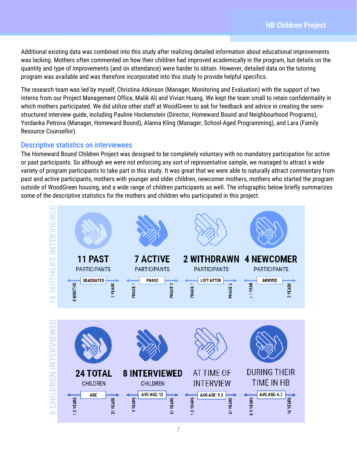Additional existing data was combined into this study after realizing detailed information about educational improvements was lacking. Mothers often commented on how their children had improved academically in the program, but details on the quantity and type of improvements (and on attendance) were harder to obtain. However, detailed data on the tutoring program was available and was therefore incorporated into this study to provide helpful specifics.

The research team was led by myself, Christina Atkinson (Manager, Monitoring and Evaluation) with the support of two interns from our Project Management Office, Malik Ali and Vivian Huang. We kept the team small to retain confidentiality in which mothers participated. We did utilize other staff at WoodGreen to ask for feedback and advice in creating the semistructured interview guide, including Pauline Hockenstein (Director, Homeward Bound and Neighbourhood Programs), Yordanka Petrova (Manager, Homeward Bound), Alanna Kling (Manager, School-Aged Programming), and Lara (Family Resource Counsellor).

#### <span id="page-6-0"></span>Descriptive statistics on interviewees

The Homeward Bound Children Project was designed to be completely voluntary with no mandatory participation for active or past participants. So although we were not enforcing any sort of representative sample, we managed to attract a wide variety of program participants to take part in this study. It was great that we were able to naturally attract commentary from past and active participants, mothers with younger and older children, newcomer mothers, mothers who started the program outside of WoodGreen housing, and a wide range of children participants as well. The infographic below briefly summarizes some of the descriptive statistics for the mothers and children who participated in this project.

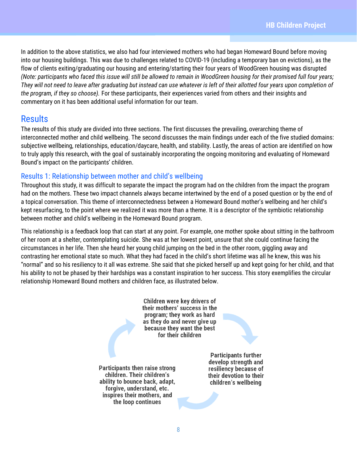In addition to the above statistics, we also had four interviewed mothers who had began Homeward Bound before moving into our housing buildings. This was due to challenges related to COVID-19 (including a temporary ban on evictions), as the flow of clients exiting/graduating our housing and entering/starting their four years of WoodGreen housing was disrupted *(Note: participants who faced this issue will still be allowed to remain in WoodGreen housing for their promised full four years; They will not need to leave after graduating but instead can use whatever is left of their allotted four years upon completion of the program, if they so choose).* For these participants, their experiences varied from others and their insights and commentary on it has been additional useful information for our team.

## <span id="page-7-0"></span>**Results**

The results of this study are divided into three sections. The first discusses the prevailing, overarching theme of interconnected mother and child wellbeing. The second discusses the main findings under each of the five studied domains: subjective wellbeing, relationships, education/daycare, health, and stability. Lastly, the areas of action are identified on how to truly apply this research, with the goal of sustainably incorporating the ongoing monitoring and evaluating of Homeward Bound's impact on the participants' children.

#### <span id="page-7-1"></span>Results 1: Relationship between mother and child's wellbeing

Throughout this study, it was difficult to separate the impact the program had on the children from the impact the program had on the mothers. These two impact channels always became intertwined by the end of a posed question or by the end of a topical conversation. This theme of interconnectedness between a Homeward Bound mother's wellbeing and her child's kept resurfacing, to the point where we realized it was more than a theme. It is a descriptor of the symbiotic relationship between mother and child's wellbeing in the Homeward Bound program.

This relationship is a feedback loop that can start at any point. For example, one mother spoke about sitting in the bathroom of her room at a shelter, contemplating suicide. She was at her lowest point, unsure that she could continue facing the circumstances in her life. Then she heard her young child jumping on the bed in the other room, giggling away and contrasting her emotional state so much. What they had faced in the child's short lifetime was all he knew, this was his "normal" and so his resiliency to it all was extreme. She said that she picked herself up and kept going for her child, and that his ability to not be phased by their hardships was a constant inspiration to her success. This story exemplifies the circular relationship Homeward Bound mothers and children face, as illustrated below.

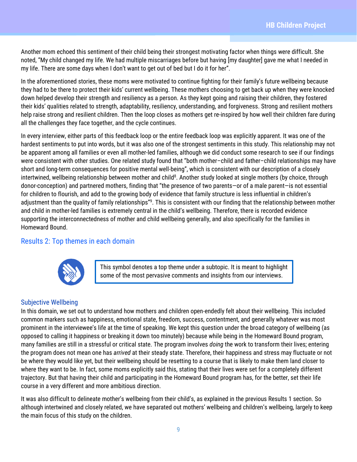Another mom echoed this sentiment of their child being their strongest motivating factor when things were difficult. She noted, "My child changed my life. We had multiple miscarriages before but having [my daughter] gave me what I needed in my life. There are some days when I don't want to get out of bed but I do it for her".

In the aforementioned stories, these moms were motivated to continue fighting for their family's future wellbeing because they had to be there to protect their kids' current wellbeing. These mothers choosing to get back up when they were knocked down helped develop their strength and resiliency as a person. As they kept going and raising their children, they fostered their kids' qualities related to strength, adaptability, resiliency, understanding, and forgiveness. Strong and resilient mothers help raise strong and resilient children. Then the loop closes as mothers get re-inspired by how well their children fare during all the challenges they face together, and the cycle continues.

In every interview, either parts of this feedback loop or the entire feedback loop was explicitly apparent. It was one of the hardest sentiments to put into words, but it was also one of the strongest sentiments in this study. This relationship may not be apparent among all families or even all mother-led families, although we did conduct some research to see if our findings were consistent with other studies. One related study found that "both mother–child and father–child relationships may have short and long-term consequences for positive mental well-being", which is consistent with our description of a closely intertwined, wellbeing relationship between mother and child<sup>8</sup>. Another study looked at single mothers (by choice, through donor-conception) and partnered mothers, finding that "the presence of two parents—or of a male parent—is not essential for children to flourish, and add to the growing body of evidence that family structure is less influential in children's adjustment than the quality of family relationships"<sup>9</sup>. This is consistent with our finding that the relationship between mother and child in mother-led families is extremely central in the child's wellbeing. Therefore, there is recorded evidence supporting the interconnectedness of mother and child wellbeing generally, and also specifically for the families in Homeward Bound.

#### <span id="page-8-0"></span>Results 2: Top themes in each domain



This symbol denotes a top theme under a subtopic. It is meant to highlight some of the most pervasive comments and insights from our interviews.

#### <span id="page-8-1"></span>Subjective Wellbeing

In this domain, we set out to understand how mothers and children open-endedly felt about their wellbeing. This included common markers such as happiness, emotional state, freedom, success, contentment, and generally whatever was most prominent in the interviewee's life at the time of speaking. We kept this question under the broad category of wellbeing (as opposed to calling it happiness or breaking it down too minutely) because while being in the Homeward Bound program, many families are still in a stressful or critical state. The program involves *doing* the work to transform their lives; entering the program does not mean one has *arrived* at their steady state. Therefore, their happiness and stress may fluctuate or not be where they would like yet, but their wellbeing should be resetting to a course that is likely to make them land closer to where they want to be. In fact, some moms explicitly said this, stating that their lives were set for a completely different trajectory. But that having their child and participating in the Homeward Bound program has, for the better, set their life course in a very different and more ambitious direction.

It was also difficult to delineate mother's wellbeing from their child's, as explained in the previous Results 1 section. So although intertwined and closely related, we have separated out mothers' wellbeing and children's wellbeing, largely to keep the main focus of this study on the children.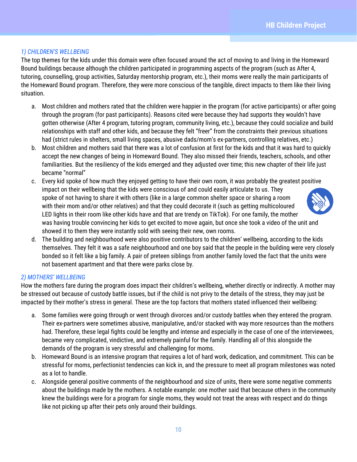#### *1) CHILDREN'S WELLBEING*

The top themes for the kids under this domain were often focused around the act of moving to and living in the Homeward Bound buildings because although the children participated in programming aspects of the program (such as After 4, tutoring, counselling, group activities, Saturday mentorship program, etc.), their moms were really the main participants of the Homeward Bound program. Therefore, they were more conscious of the tangible, direct impacts to them like their living situation.

- a. Most children and mothers rated that the children were happier in the program (for active participants) or after going through the program (for past participants). Reasons cited were because they had supports they wouldn't have gotten otherwise (After 4 program, tutoring program, community living, etc.), because they could socialize and build relationships with staff and other kids, and because they felt "freer" from the constraints their previous situations had (strict rules in shelters, small living spaces, abusive dads/mom's ex-partners, controlling relatives, etc.)
- b. Most children and mothers said that there was a lot of confusion at first for the kids and that it was hard to quickly accept the new changes of being in Homeward Bound. They also missed their friends, teachers, schools, and other familiarities. But the resiliency of the kids emerged and they adjusted over time; this new chapter of their life just became "normal"
- c. Every kid spoke of how much they enjoyed getting to have their own room, it was probably the greatest positive impact on their wellbeing that the kids were conscious of and could easily articulate to us. They spoke of not having to share it with others (like in a large common shelter space or sharing a room with their mom and/or other relatives) and that they could decorate it (such as getting multicoloured LED lights in their room like other kids have and that are trendy on TikTok). For one family, the mother was having trouble convincing her kids to get excited to move again, but once she took a video of the unit and showed it to them they were instantly sold with seeing their new, own rooms.



d. The building and neighbourhood were also positive contributors to the children' wellbeing, according to the kids themselves. They felt it was a safe neighbourhood and one boy said that the people in the building were very closely bonded so it felt like a big family. A pair of preteen siblings from another family loved the fact that the units were not basement apartment and that there were parks close by.

#### *2) MOTHERS' WELLBEING*

How the mothers fare during the program does impact their children's wellbeing, whether directly or indirectly. A mother may be stressed out because of custody battle issues, but if the child is not privy to the details of the stress, they may just be impacted by their mother's stress in general. These are the top factors that mothers stated influenced their wellbeing:

- a. Some families were going through or went through divorces and/or custody battles when they entered the program. Their ex-partners were sometimes abusive, manipulative, and/or stacked with way more resources than the mothers had. Therefore, these legal fights could be lengthy and intense and especially in the case of one of the interviewees, became very complicated, vindictive, and extremely painful for the family. Handling all of this alongside the demands of the program is very stressful and challenging for moms.
- b. Homeward Bound is an intensive program that requires a lot of hard work, dedication, and commitment. This can be stressful for moms, perfectionist tendencies can kick in, and the pressure to meet all program milestones was noted as a lot to handle.
- c. Alongside general positive comments of the neighbourhood and size of units, there were some negative comments about the buildings made by the mothers. A notable example: one mother said that because others in the community knew the buildings were for a program for single moms, they would not treat the areas with respect and do things like not picking up after their pets only around their buildings.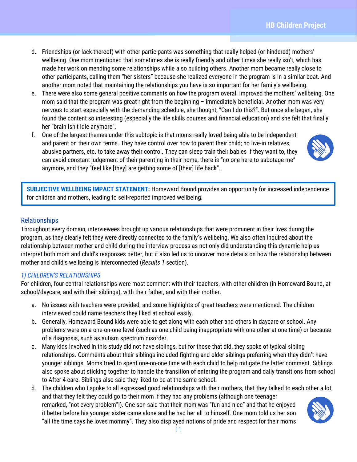- d. Friendships (or lack thereof) with other participants was something that really helped (or hindered) mothers' wellbeing. One mom mentioned that sometimes she is really friendly and other times she really isn't, which has made her work on mending some relationships while also building others. Another mom became really close to other participants, calling them "her sisters" because she realized everyone in the program is in a similar boat. And another mom noted that maintaining the relationships you have is so important for her family's wellbeing.
- e. There were also some general positive comments on how the program overall improved the mothers' wellbeing. One mom said that the program was great right from the beginning – immediately beneficial. Another mom was very nervous to start especially with the demanding schedule, she thought, "Can I do this?". But once she began, she found the content so interesting (especially the life skills courses and financial education) and she felt that finally her "brain isn't idle anymore".
- f. One of the largest themes under this subtopic is that moms really loved being able to be independent and parent on their own terms. They have control over how to parent their child; no live-in relatives, abusive partners, etc. to take away their control. They can sleep train their babies if they want to, they can avoid constant judgement of their parenting in their home, there is "no one here to sabotage me" anymore, and they "feel like [they] are getting some of [their] life back".



**SUBJECTIVE WELLBEING IMPACT STATEMENT:** Homeward Bound provides an opportunity for increased independence for children and mothers, leading to self-reported improved wellbeing.

#### <span id="page-10-0"></span>Relationships

Throughout every domain, interviewees brought up various relationships that were prominent in their lives during the program, as they clearly felt they were directly connected to the family's wellbeing. We also often inquired about the relationship between mother and child during the interview process as not only did understanding this dynamic help us interpret both mom and child's responses better, but it also led us to uncover more details on how the relationship between mother and child's wellbeing is interconnected (*Results 1* section).

#### *1) CHILDREN'S RELATIONSHIPS*

For children, four central relationships were most common: with their teachers, with other children (in Homeward Bound, at school/daycare, and with their siblings), with their father, and with their mother.

- a. No issues with teachers were provided, and some highlights of great teachers were mentioned. The children interviewed could name teachers they liked at school easily.
- b. Generally, Homeward Bound kids were able to get along with each other and others in daycare or school. Any problems were on a one-on-one level (such as one child being inappropriate with one other at one time) or because of a diagnosis, such as autism spectrum disorder.
- c. Many kids involved in this study did not have siblings, but for those that did, they spoke of typical sibling relationships. Comments about their siblings included fighting and older siblings preferring when they didn't have younger siblings. Moms tried to spent one-on-one time with each child to help mitigate the latter comment. Siblings also spoke about sticking together to handle the transition of entering the program and daily transitions from school to After 4 care. Siblings also said they liked to be at the same school.
- d. The children who I spoke to all expressed good relationships with their mothers, that they talked to each other a lot, and that they felt they could go to their mom if they had any problems (although one teenager remarked, "not every problem"!). One son said that their mom was "fun and nice" and that he enjoyed it better before his younger sister came alone and he had her all to himself. One mom told us her son "all the time says he loves mommy". They also displayed notions of pride and respect for their moms

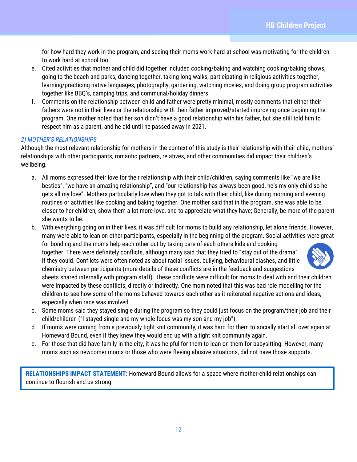for how hard they work in the program, and seeing their moms work hard at school was motivating for the children to work hard at school too.

- e. Cited activities that mother and child did together included cooking/baking and watching cooking/baking shows, going to the beach and parks, dancing together, taking long walks, participating in religious activities together, learning/practicing native languages, photography, gardening, watching movies, and doing group program activities together like BBQ's, camping trips, and communal/holiday dinners.
- f. Comments on the relationship between child and father were pretty minimal, mostly comments that either their fathers were not in their lives or the relationship with their father improved/started improving once beginning the program. One mother noted that her son didn't have a good relationship with his father, but she still told him to respect him as a parent, and he did until he passed away in 2021.

#### *2) MOTHER'S RELATIONSHIPS*

Although the most relevant relationship for mothers in the context of this study is their relationship with their child, mothers' relationships with other participants, romantic partners, relatives, and other communities did impact their children's wellbeing.

- a. All moms expressed their love for their relationship with their child/children, saying comments like "we are like besties", "we have an amazing relationship", and "our relationship has always been good, he's my only child so he gets all my love". Mothers particularly love when they got to talk with their child, like during morning and evening routines or activities like cooking and baking together. One mother said that in the program, she was able to be closer to her children, show them a lot more love, and to appreciate what they have; Generally, be more of the parent she wants to be.
- b. With everything going on in their lives, it was difficult for moms to build any relationship, let alone friends. However, many were able to lean on other participants, especially in the beginning of the program. Social activities were great for bonding and the moms help each other out by taking care of each others kids and cooking together. There were definitely conflicts, although many said that they tried to "stay out of the drama" if they could. Conflicts were often noted as about racial issues, bullying, behavioural clashes, and little chemistry between participants (more details of these conflicts are in the feedback and suggestions sheets shared internally with program staff). These conflicts were difficult for moms to deal with and their children were impacted by these conflicts, directly or indirectly. One mom noted that this was bad role modelling for the children to see how some of the moms behaved towards each other as it reiterated negative actions and ideas, especially when race was involved.
- c. Some moms said they stayed single during the program so they could just focus on the program/their job and their child/children ("I stayed single and my whole focus was my son and my job").
- d. If moms were coming from a previously tight knit community, it was hard for them to socially start all over again at Homeward Bound, even if they knew they would end up with a tight knit community again.
- e. For those that did have family in the city, it was helpful for them to lean on them for babysitting. However, many moms such as newcomer moms or those who were fleeing abusive situations, did not have those supports.

**RELATIONSHIPS IMPACT STATEMENT:** Homeward Bound allows for a space where mother-child relationships can continue to flourish and be strong.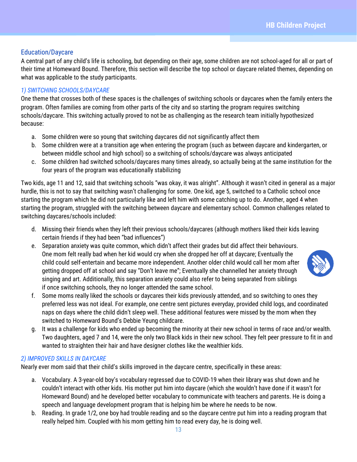#### <span id="page-12-0"></span>Education/Daycare

A central part of any child's life is schooling, but depending on their age, some children are not school-aged for all or part of their time at Homeward Bound. Therefore, this section will describe the top school or daycare related themes, depending on what was applicable to the study participants.

#### *1) SWITCHING SCHOOLS/DAYCARE*

One theme that crosses both of these spaces is the challenges of switching schools or daycares when the family enters the program. Often families are coming from other parts of the city and so starting the program requires switching schools/daycare. This switching actually proved to not be as challenging as the research team initially hypothesized because:

- a. Some children were so young that switching daycares did not significantly affect them
- b. Some children were at a transition age when entering the program (such as between daycare and kindergarten, or between middle school and high school) so a switching of schools/daycare was always anticipated
- c. Some children had switched schools/daycares many times already, so actually being at the same institution for the four years of the program was educationally stabilizing

Two kids, age 11 and 12, said that switching schools "was okay, it was alright". Although it wasn't cited in general as a major hurdle, this is not to say that switching wasn't challenging for some. One kid, age 5, switched to a Catholic school once starting the program which he did not particularly like and left him with some catching up to do. Another, aged 4 when starting the program, struggled with the switching between daycare and elementary school. Common challenges related to switching daycares/schools included:

- d. Missing their friends when they left their previous schools/daycares (although mothers liked their kids leaving certain friends if they had been "bad influences")
- e. Separation anxiety was quite common, which didn't affect their grades but did affect their behaviours. One mom felt really bad when her kid would cry when she dropped her off at daycare; Eventually the child could self-entertain and became more independent. Another older child would call her mom after getting dropped off at school and say "Don't leave me"; Eventually she channelled her anxiety through singing and art. Additionally, this separation anxiety could also refer to being separated from siblings if once switching schools, they no longer attended the same school.



- f. Some moms really liked the schools or daycares their kids previously attended, and so switching to ones they preferred less was not ideal. For example, one centre sent pictures everyday, provided child logs, and coordinated naps on days where the child didn't sleep well. These additional features were missed by the mom when they switched to Homeward Bound's Debbie Yeung childcare.
- g. It was a challenge for kids who ended up becoming the minority at their new school in terms of race and/or wealth. Two daughters, aged 7 and 14, were the only two Black kids in their new school. They felt peer pressure to fit in and wanted to straighten their hair and have designer clothes like the wealthier kids.

#### *2) IMPROVED SKILLS IN DAYCARE*

Nearly ever mom said that their child's skills improved in the daycare centre, specifically in these areas:

- a. Vocabulary. A 3-year-old boy's vocabulary regressed due to COVID-19 when their library was shut down and he couldn't interact with other kids. His mother put him into daycare (which she wouldn't have done if it wasn't for Homeward Bound) and he developed better vocabulary to communicate with teachers and parents. He is doing a speech and language development program that is helping him be where he needs to be now.
- b. Reading. In grade 1/2, one boy had trouble reading and so the daycare centre put him into a reading program that really helped him. Coupled with his mom getting him to read every day, he is doing well.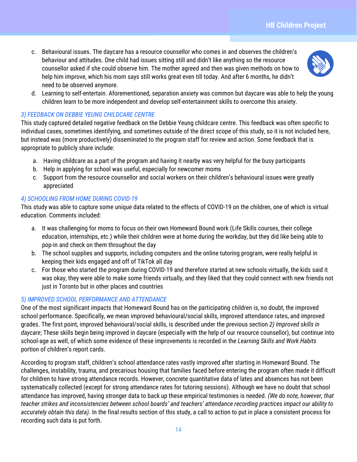c. Behavioural issues. The daycare has a resource counsellor who comes in and observes the children's behaviour and attitudes. One child had issues sitting still and didn't like anything so the resource counsellor asked if she could observe him. The mother agreed and then was given methods on how to help him improve, which his mom says still works great even till today. And after 6 months, he didn't need to be observed anymore.



d. Learning to self-entertain. Aforementioned, separation anxiety was common but daycare was able to help the young children learn to be more independent and develop self-entertainment skills to overcome this anxiety.

#### *3) FEEDBACK ON DEBBIE YEUNG CHILDCARE CENTRE*

This study captured detailed negative feedback on the Debbie Yeung childcare centre. This feedback was often specific to individual cases, sometimes identifying, and sometimes outside of the direct scope of this study, so it is not included here, but instead was (more productively) disseminated to the program staff for review and action. Some feedback that is appropriate to publicly share include:

- a. Having childcare as a part of the program and having it nearby was very helpful for the busy participants
- b. Help in applying for school was useful, especially for newcomer moms
- c. Support from the resource counsellor and social workers on their children's behavioural issues were greatly appreciated

#### *4) SCHOOLING FROM HOME DURING COVID-19*

This study was able to capture some unique data related to the effects of COVID-19 on the children, one of which is virtual education. Comments included:

- a. It was challenging for moms to focus on their own Homeward Bound work (Life Skills courses, their college education, internships, etc.) while their children were at home during the workday, but they did like being able to pop-in and check on them throughout the day
- b. The school supplies and supports, including computers and the online tutoring program, were really helpful in keeping their kids engaged and off of TikTok all day
- c. For those who started the program during COVID-19 and therefore started at new schools virtually, the kids said it was okay, they were able to make some friends virtually, and they liked that they could connect with new friends not just in Toronto but in other places and countries

#### *5) IMPROVED SCHOOL PERFORMANCE AND ATTENDANCE*

One of the most significant impacts that Homeward Bound has on the participating children is, no doubt, the improved school performance. Specifically, we mean improved behavioural/social skills, improved attendance rates, and improved grades. The first point, improved behavioural/social skills, is described under the previous section *2) Improved skills in daycare*; These skills begin being improved in daycare (especially with the help of our resource counsellor), but continue into school-age as well, of which some evidence of these improvements is recorded in the *Learning Skills and Work Habits* portion of children's report cards.

According to program staff, children's school attendance rates vastly improved after starting in Homeward Bound. The challenges, instability, trauma, and precarious housing that families faced before entering the program often made it difficult for children to have strong attendance records. However, concrete quantitative data of lates and absences has not been systematically collected (except for strong attendance rates for tutoring sessions). Although we have no doubt that school attendance has improved, having stronger data to back up these empirical testimonies is needed. *(We do note, however, that teacher strikes and inconsistencies between school boards' and teachers' attendance recording practices impact our ability to accurately obtain this data).* In the final results section of this study, a call to action to put in place a consistent process for recording such data is put forth.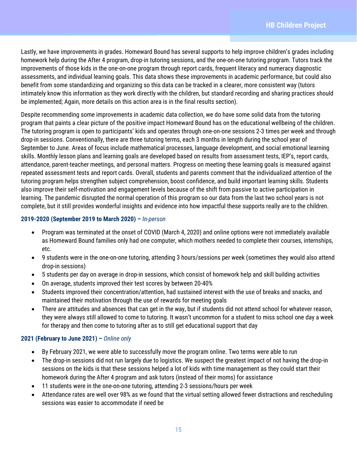Lastly, we have improvements in grades. Homeward Bound has several supports to help improve children's grades including homework help during the After 4 program, drop-in tutoring sessions, and the one-on-one tutoring program. Tutors track the improvements of those kids in the one-on-one program through report cards, frequent literacy and numeracy diagnostic assessments, and individual learning goals. This data shows these improvements in academic performance, but could also benefit from some standardizing and organizing so this data can be tracked in a clearer, more consistent way (tutors intimately know this information as they work directly with the children, but standard recording and sharing practices should be implemented; Again, more details on this action area is in the final results section).

Despite recommending some improvements in academic data collection, we do have some solid data from the tutoring program that paints a clear picture of the positive impact Homeward Bound has on the educational wellbeing of the children. The tutoring program is open to participants' kids and operates through one-on-one sessions 2-3 times per week and through drop-in sessions. Conventionally, there are three tutoring terms, each 3 months in length during the school year of September to June. Areas of focus include mathematical processes, language development, and social emotional learning skills. Monthly lesson plans and learning goals are developed based on results from assessment tests, IEP's, report cards, attendance, parent-teacher meetings, and personal matters. Progress on meeting these learning goals is measured against repeated assessment tests and report cards. Overall, students and parents comment that the individualized attention of the tutoring program helps strengthen subject comprehension, boost confidence, and build important learning skills. Students also improve their self-motivation and engagement levels because of the shift from passive to active participation in learning. The pandemic disrupted the normal operation of this program so our data from the last two school years is not complete, but it still provides wonderful insights and evidence into how impactful these supports really are to the children.

#### **2019-2020 (September 2019 to March 2020) –** *In-person*

- Program was terminated at the onset of COVID (March 4, 2020) and online options were not immediately available as Homeward Bound families only had one computer, which mothers needed to complete their courses, internships, etc.
- 9 students were in the one-on-one tutoring, attending 3 hours/sessions per week (sometimes they would also attend drop-in sessions)
- 5 students per day on average in drop-in sessions, which consist of homework help and skill building activities
- On average, students improved their test scores by between 20-40%
- Students improved their concentration/attention, had sustained interest with the use of breaks and snacks, and maintained their motivation through the use of rewards for meeting goals
- There are attitudes and absences that can get in the way, but if students did not attend school for whatever reason, they were always still allowed to come to tutoring. It wasn't uncommon for a student to miss school one day a week for therapy and then come to tutoring after as to still get educational support that day

#### **2021 (February to June 2021) –** *Online only*

- By February 2021, we were able to successfully move the program online. Two terms were able to run
- The drop-in sessions did not run largely due to logistics. We suspect the greatest impact of not having the drop-in sessions on the kids is that these sessions helped a lot of kids with time management as they could start their homework during the After 4 program and ask tutors (instead of their moms) for assistance
- 11 students were in the one-on-one tutoring, attending 2-3 sessions/hours per week
- Attendance rates are well over 98% as we found that the virtual setting allowed fewer distractions and rescheduling sessions was easier to accommodate if need be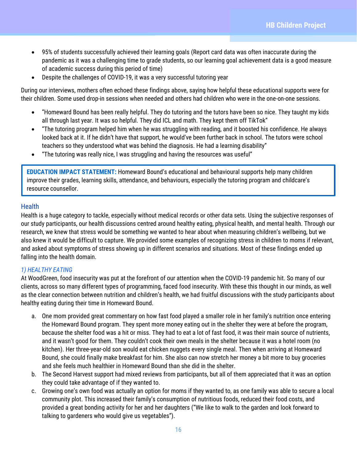- 95% of students successfully achieved their learning goals (Report card data was often inaccurate during the pandemic as it was a challenging time to grade students, so our learning goal achievement data is a good measure of academic success during this period of time)
- Despite the challenges of COVID-19, it was a very successful tutoring year

During our interviews, mothers often echoed these findings above, saying how helpful these educational supports were for their children. Some used drop-in sessions when needed and others had children who were in the one-on-one sessions.

- "Homeward Bound has been really helpful. They do tutoring and the tutors have been so nice. They taught my kids all through last year. It was so helpful. They did ICL and math. They kept them off TikTok"
- "The tutoring program helped him when he was struggling with reading, and it boosted his confidence. He always looked back at it. If he didn't have that support, he would've been further back in school. The tutors were school teachers so they understood what was behind the diagnosis. He had a learning disability"
- "The tutoring was really nice, I was struggling and having the resources was useful"

**EDUCATION IMPACT STATEMENT:** Homeward Bound's educational and behavioural supports help many children improve their grades, learning skills, attendance, and behaviours, especially the tutoring program and childcare's resource counsellor.

#### <span id="page-15-0"></span>**Health**

Health is a huge category to tackle, especially without medical records or other data sets. Using the subjective responses of our study participants, our health discussions centred around healthy eating, physical health, and mental health. Through our research, we knew that stress would be something we wanted to hear about when measuring children's wellbeing, but we also knew it would be difficult to capture. We provided some examples of recognizing stress in children to moms if relevant, and asked about symptoms of stress showing up in different scenarios and situations. Most of these findings ended up falling into the health domain.

#### *1) HEALTHY EATING*

At WoodGreen, food insecurity was put at the forefront of our attention when the COVID-19 pandemic hit. So many of our clients, across so many different types of programming, faced food insecurity. With these this thought in our minds, as well as the clear connection between nutrition and children's health, we had fruitful discussions with the study participants about healthy eating during their time in Homeward Bound.

- a. One mom provided great commentary on how fast food played a smaller role in her family's nutrition once entering the Homeward Bound program. They spent more money eating out in the shelter they were at before the program, because the shelter food was a hit or miss. They had to eat a lot of fast food, it was their main source of nutrients, and it wasn't good for them. They couldn't cook their own meals in the shelter because it was a hotel room (no kitchen). Her three-year-old son would eat chicken nuggets every single meal. Then when arriving at Homeward Bound, she could finally make breakfast for him. She also can now stretch her money a bit more to buy groceries and she feels much healthier in Homeward Bound than she did in the shelter.
- b. The Second Harvest support had mixed reviews from participants, but all of them appreciated that it was an option they could take advantage of if they wanted to.
- c. Growing one's own food was actually an option for moms if they wanted to, as one family was able to secure a local community plot. This increased their family's consumption of nutritious foods, reduced their food costs, and provided a great bonding activity for her and her daughters ("We like to walk to the garden and look forward to talking to gardeners who would give us vegetables").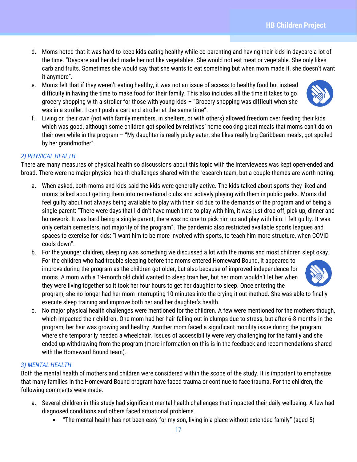- d. Moms noted that it was hard to keep kids eating healthy while co-parenting and having their kids in daycare a lot of the time. "Daycare and her dad made her not like vegetables. She would not eat meat or vegetable. She only likes carb and fruits. Sometimes she would say that she wants to eat something but when mom made it, she doesn't want it anymore".
- e. Moms felt that if they weren't eating healthy, it was not an issue of access to healthy food but instead difficulty in having the time to make food for their family. This also includes all the time it takes to go grocery shopping with a stroller for those with young kids – "Grocery shopping was difficult when she was in a stroller. I can't push a cart and stroller at the same time".
- f. Living on their own (not with family members, in shelters, or with others) allowed freedom over feeding their kids which was good, although some children got spoiled by relatives' home cooking great meals that moms can't do on their own while in the program – "My daughter is really picky eater, she likes really big Caribbean meals, got spoiled by her grandmother".

#### *2) PHYSICAL HEALTH*

There are many measures of physical health so discussions about this topic with the interviewees was kept open-ended and broad. There were no major physical health challenges shared with the research team, but a couple themes are worth noting:

- a. When asked, both moms and kids said the kids were generally active. The kids talked about sports they liked and moms talked about getting them into recreational clubs and actively playing with them in public parks. Moms did feel guilty about not always being available to play with their kid due to the demands of the program and of being a single parent: "There were days that I didn't have much time to play with him, it was just drop off, pick up, dinner and homework. It was hard being a single parent, there was no one to pick him up and play with him. I felt guilty. It was only certain semesters, not majority of the program". The pandemic also restricted available sports leagues and spaces to exercise for kids: "I want him to be more involved with sports, to teach him more structure, when COVID cools down".
- b. For the younger children, sleeping was something we discussed a lot with the moms and most children slept okay. For the children who had trouble sleeping before the moms entered Homeward Bound, it appeared to improve during the program as the children got older, but also because of improved independence for moms. A mom with a 19-month old child wanted to sleep train her, but her mom wouldn't let her when they were living together so it took her four hours to get her daughter to sleep. Once entering the program, she no longer had her mom interrupting 10 minutes into the crying it out method. She was able to finally



execute sleep training and improve both her and her daughter's health.

c. No major physical health challenges were mentioned for the children. A few were mentioned for the mothers though, which impacted their children. One mom had her hair falling out in clumps due to stress, but after 6-8 months in the program, her hair was growing and healthy. Another mom faced a significant mobility issue during the program where she temporarily needed a wheelchair. Issues of accessibility were very challenging for the family and she ended up withdrawing from the program (more information on this is in the feedback and recommendations shared with the Homeward Bound team).

#### *3) MENTAL HEALTH*

Both the mental health of mothers and children were considered within the scope of the study. It is important to emphasize that many families in the Homeward Bound program have faced trauma or continue to face trauma. For the children, the following comments were made:

- a. Several children in this study had significant mental health challenges that impacted their daily wellbeing. A few had diagnosed conditions and others faced situational problems.
	- "The mental health has not been easy for my son, living in a place without extended family" (aged 5)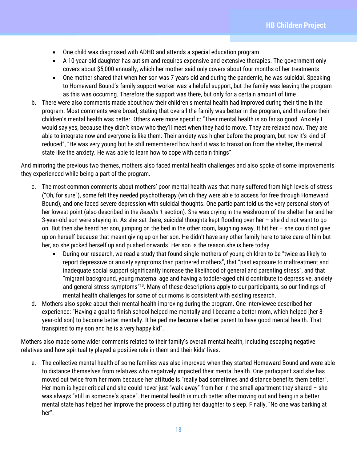- One child was diagnosed with ADHD and attends a special education program
- A 10-year-old daughter has autism and requires expensive and extensive therapies. The government only covers about \$5,000 annually, which her mother said only covers about four months of her treatments
- One mother shared that when her son was 7 years old and during the pandemic, he was suicidal. Speaking to Homeward Bound's family support worker was a helpful support, but the family was leaving the program as this was occurring. Therefore the support was there, but only for a certain amount of time
- b. There were also comments made about how their children's mental health had improved during their time in the program. Most comments were broad, stating that overall the family was better in the program, and therefore their children's mental health was better. Others were more specific: "Their mental health is so far so good. Anxiety I would say yes, because they didn't know who they'll meet when they had to move. They are relaxed now. They are able to integrate now and everyone is like them. Their anxiety was higher before the program, but now it's kind of reduced", "He was very young but he still remembered how hard it was to transition from the shelter, the mental state like the anxiety. He was able to learn how to cope with certain things"

And mirroring the previous two themes, mothers also faced mental health challenges and also spoke of some improvements they experienced while being a part of the program.

- c. The most common comments about mothers' poor mental health was that many suffered from high levels of stress ("Oh, for sure"), some felt they needed psychotherapy (which they were able to access for free through Homeward Bound), and one faced severe depression with suicidal thoughts. One participant told us the very personal story of her lowest point (also described in the *Results 1* section). She was crying in the washroom of the shelter her and her 3-year-old son were staying in. As she sat there, suicidal thoughts kept flooding over her – she did not want to go on. But then she heard her son, jumping on the bed in the other room, laughing away. It hit her – she could not give up on herself because that meant giving up on her son. He didn't have any other family here to take care of him but her, so she picked herself up and pushed onwards. Her son is the reason she is here today.
	- During our research, we read a study that found single mothers of young children to be "twice as likely to report depressive or anxiety symptoms than partnered mothers", that "past exposure to maltreatment and inadequate social support significantly increase the likelihood of general and parenting stress", and that "migrant background, young maternal age and having a toddler-aged child contribute to depressive, anxiety and general stress symptoms"<sup>10</sup>. Many of these descriptions apply to our participants, so our findings of mental health challenges for some of our moms is consistent with existing research.
- d. Mothers also spoke about their mental health improving during the program. One interviewee described her experience: "Having a goal to finish school helped me mentally and I became a better mom, which helped [her 8 year-old son] to become better mentally. It helped me become a better parent to have good mental health. That transpired to my son and he is a very happy kid".

Mothers also made some wider comments related to their family's overall mental health, including escaping negative relatives and how spirituality played a positive role in them and their kids' lives.

e. The collective mental health of some families was also improved when they started Homeward Bound and were able to distance themselves from relatives who negatively impacted their mental health. One participant said she has moved out twice from her mom because her attitude is "really bad sometimes and distance benefits them better". Her mom is hyper critical and she could never just "walk away" from her in the small apartment they shared – she was always "still in someone's space". Her mental health is much better after moving out and being in a better mental state has helped her improve the process of putting her daughter to sleep. Finally, "No one was barking at her".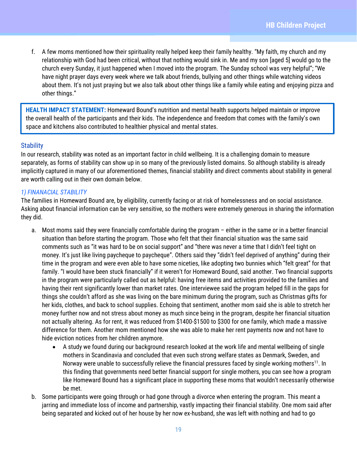f. A few moms mentioned how their spirituality really helped keep their family healthy. "My faith, my church and my relationship with God had been critical, without that nothing would sink in. Me and my son [aged 5] would go to the church every Sunday, it just happened when I moved into the program. The Sunday school was very helpful"; "We have night prayer days every week where we talk about friends, bullying and other things while watching videos about them. It's not just praying but we also talk about other things like a family while eating and enjoying pizza and other things."

**HEALTH IMPACT STATEMENT:** Homeward Bound's nutrition and mental health supports helped maintain or improve the overall health of the participants and their kids. The independence and freedom that comes with the family's own space and kitchens also contributed to healthier physical and mental states.

#### <span id="page-18-0"></span>**Stability**

In our research, stability was noted as an important factor in child wellbeing. It is a challenging domain to measure separately, as forms of stability can show up in so many of the previously listed domains. So although stability is already implicitly captured in many of our aforementioned themes, financial stability and direct comments about stability in general are worth calling out in their own domain below.

#### *1) FINANACIAL STABILITY*

The families in Homeward Bound are, by eligibility, currently facing or at risk of homelessness and on social assistance. Asking about financial information can be very sensitive, so the mothers were extremely generous in sharing the information they did.

- a. Most moms said they were financially comfortable during the program either in the same or in a better financial situation than before starting the program. Those who felt that their financial situation was the same said comments such as "it was hard to be on social support" and "there was never a time that I didn't feel tight on money. It's just like living paycheque to paycheque". Others said they "didn't feel deprived of anything" during their time in the program and were even able to have some niceties, like adopting two bunnies which "felt great" for that family. "I would have been stuck financially" if it weren't for Homeward Bound, said another. Two financial supports in the program were particularly called out as helpful: having free items and activities provided to the families and having their rent significantly lower than market rates. One interviewee said the program helped fill in the gaps for things she couldn't afford as she was living on the bare minimum during the program, such as Christmas gifts for her kids, clothes, and back to school supplies. Echoing that sentiment, another mom said she is able to stretch her money further now and not stress about money as much since being in the program, despite her financial situation not actually altering. As for rent, it was reduced from \$1400-\$1500 to \$300 for one family, which made a massive difference for them. Another mom mentioned how she was able to make her rent payments now and not have to hide eviction notices from her children anymore.
	- A study we found during our background research looked at the work life and mental wellbeing of single mothers in Scandinavia and concluded that even such strong welfare states as Denmark, Sweden, and Norway were unable to successfully relieve the financial pressures faced by single working mothers<sup>11</sup>. In this finding that governments need better financial support for single mothers, you can see how a program like Homeward Bound has a significant place in supporting these moms that wouldn't necessarily otherwise be met.
- b. Some participants were going through or had gone through a divorce when entering the program. This meant a jarring and immediate loss of income and partnership, vastly impacting their financial stability. One mom said after being separated and kicked out of her house by her now ex-husband, she was left with nothing and had to go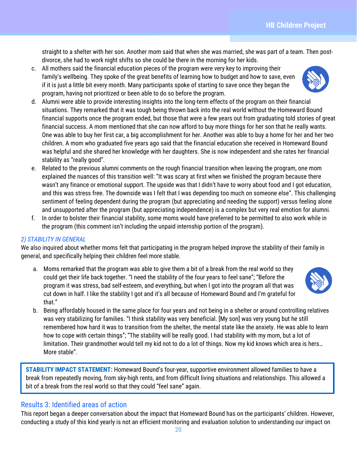straight to a shelter with her son. Another mom said that when she was married, she was part of a team. Then postdivorce, she had to work night shifts so she could be there in the morning for her kids.

- c. All mothers said the financial education pieces of the program were very key to improving their family's wellbeing. They spoke of the great benefits of learning how to budget and how to save, even if it is just a little bit every month. Many participants spoke of starting to save once they began the program, having not prioritized or been able to do so before the program.
- d. Alumni were able to provide interesting insights into the long-term effects of the program on their financial situations. They remarked that it was tough being thrown back into the real world without the Homeward Bound financial supports once the program ended, but those that were a few years out from graduating told stories of great financial success. A mom mentioned that she can now afford to buy more things for her son that he really wants. One was able to buy her first car, a big accomplishment for her. Another was able to buy a home for her and her two children. A mom who graduated five years ago said that the financial education she received in Homeward Bound was helpful and she shared her knowledge with her daughters. She is now independent and she rates her financial stability as "really good".
- e. Related to the previous alumni comments on the rough financial transition when leaving the program, one mom explained the nuances of this transition well: "It was scary at first when we finished the program because there wasn't any finance or emotional support. The upside was that I didn't have to worry about food and I got education, and this was stress free. The downside was I felt that I was depending too much on someone else". This challenging sentiment of feeling dependent during the program (but appreciating and needing the support) versus feeling alone and unsupported after the program (but appreciating independence) is a complex but very real emotion for alumni.
- f. In order to bolster their financial stability, some moms would have preferred to be permitted to also work while in the program (this comment isn't including the unpaid internship portion of the program).

#### *2) STABILITY IN GENERAL*

We also inquired about whether moms felt that participating in the program helped improve the stability of their family in general, and specifically helping their children feel more stable.

- a. Moms remarked that the program was able to give them a bit of a break from the real world so they could get their life back together. "I need the stability of the four years to feel sane"; "Before the program it was stress, bad self-esteem, and everything, but when I got into the program all that was cut down in half. I like the stability I got and it's all because of Homeward Bound and I'm grateful for that."
- b. Being affordably housed in the same place for four years and not being in a shelter or around controlling relatives was very stabilizing for families. "I think stability was very beneficial. [My son] was very young but he still remembered how hard it was to transition from the shelter, the mental state like the anxiety. He was able to learn how to cope with certain things"; "The stability will be really good. I had stability with my mom, but a lot of limitation. Their grandmother would tell my kid not to do a lot of things. Now my kid knows which area is hers…

More stable".

**STABILITY IMPACT STATEMENT:** Homeward Bound's four-year, supportive environment allowed families to have a break from repeatedly moving, from sky-high rents, and from difficult living situations and relationships. This allowed a bit of a break from the real world so that they could "feel sane" again.

## <span id="page-19-0"></span>Results 3: Identified areas of action

This report began a deeper conversation about the impact that Homeward Bound has on the participants' children. However, conducting a study of this kind yearly is not an efficient monitoring and evaluation solution to understanding our impact on



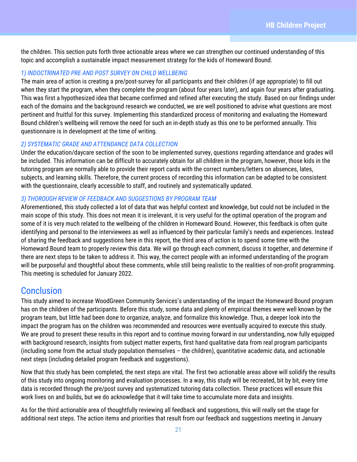the children. This section puts forth three actionable areas where we can strengthen our continued understanding of this topic and accomplish a sustainable impact measurement strategy for the kids of Homeward Bound.

#### *1) INDOCTRINATED PRE AND POST SURVEY ON CHILD WELLBEING*

The main area of action is creating a pre/post-survey for all participants and their children (if age appropriate) to fill out when they start the program, when they complete the program (about four years later), and again four years after graduating. This was first a hypothesized idea that became confirmed and refined after executing the study. Based on our findings under each of the domains and the background research we conducted, we are well positioned to advise what questions are most pertinent and fruitful for this survey. Implementing this standardized process of monitoring and evaluating the Homeward Bound children's wellbeing will remove the need for such an in-depth study as this one to be performed annually. This questionnaire is in development at the time of writing.

#### *2) SYSTEMATIC GRADE AND ATTENDANCE DATA COLLECTION*

Under the education/daycare section of the soon to be implemented survey, questions regarding attendance and grades will be included. This information can be difficult to accurately obtain for all children in the program, however, those kids in the tutoring program are normally able to provide their report cards with the correct numbers/letters on absences, lates, subjects, and learning skills. Therefore, the current process of recording this information can be adapted to be consistent with the questionnaire, clearly accessible to staff, and routinely and systematically updated.

#### *3) THOROUGH REVIEW OF FEEDBACK AND SUGGESTIONS BY PROGRAM TEAM*

Aforementioned, this study collected a lot of data that was helpful context and knowledge, but could not be included in the main scope of this study. This does not mean it is irrelevant, it is very useful for the optimal operation of the program and some of it is very much related to the wellbeing of the children in Homeward Bound. However, this feedback is often quite identifying and personal to the interviewees as well as influenced by their particular family's needs and experiences. Instead of sharing the feedback and suggestions here in this report, the third area of action is to spend some time with the Homeward Bound team to properly review this data. We will go through each comment, discuss it together, and determine if there are next steps to be taken to address it. This way, the correct people with an informed understanding of the program will be purposeful and thoughtful about these comments, while still being realistic to the realities of non-profit programming. This meeting is scheduled for January 2022.

## <span id="page-20-0"></span>**Conclusion**

This study aimed to increase WoodGreen Community Services's understanding of the impact the Homeward Bound program has on the children of the participants. Before this study, some data and plenty of empirical themes were well known by the program team, but little had been done to organize, analyze, and formalize this knowledge. Thus, a deeper look into the impact the program has on the children was recommended and resources were eventually acquired to execute this study. We are proud to present these results in this report and to continue moving forward in our understanding, now fully equipped with background research, insights from subject matter experts, first hand qualitative data from real program participants (including some from the actual study population themselves – the children), quantitative academic data, and actionable next steps (including detailed program feedback and suggestions).

Now that this study has been completed, the next steps are vital. The first two actionable areas above will solidify the results of this study into ongoing monitoring and evaluation processes. In a way, this study will be recreated, bit by bit, every time data is recorded through the pre/post survey and systematized tutoring data collection. These practices will ensure this work lives on and builds, but we do acknowledge that it will take time to accumulate more data and insights.

As for the third actionable area of thoughtfully reviewing all feedback and suggestions, this will really set the stage for additional next steps. The action items and priorities that result from our feedback and suggestions meeting in January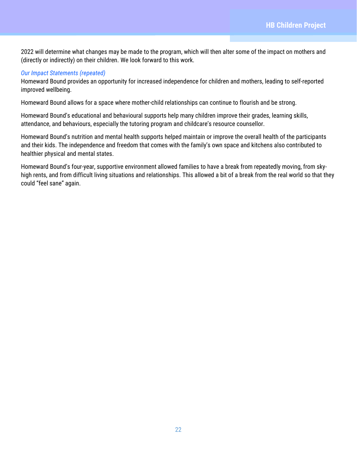2022 will determine what changes may be made to the program, which will then alter some of the impact on mothers and (directly or indirectly) on their children. We look forward to this work.

#### *Our Impact Statements (repeated)*

Homeward Bound provides an opportunity for increased independence for children and mothers, leading to self-reported improved wellbeing.

Homeward Bound allows for a space where mother-child relationships can continue to flourish and be strong.

Homeward Bound's educational and behavioural supports help many children improve their grades, learning skills, attendance, and behaviours, especially the tutoring program and childcare's resource counsellor.

Homeward Bound's nutrition and mental health supports helped maintain or improve the overall health of the participants and their kids. The independence and freedom that comes with the family's own space and kitchens also contributed to healthier physical and mental states.

Homeward Bound's four-year, supportive environment allowed families to have a break from repeatedly moving, from skyhigh rents, and from difficult living situations and relationships. This allowed a bit of a break from the real world so that they could "feel sane" again.